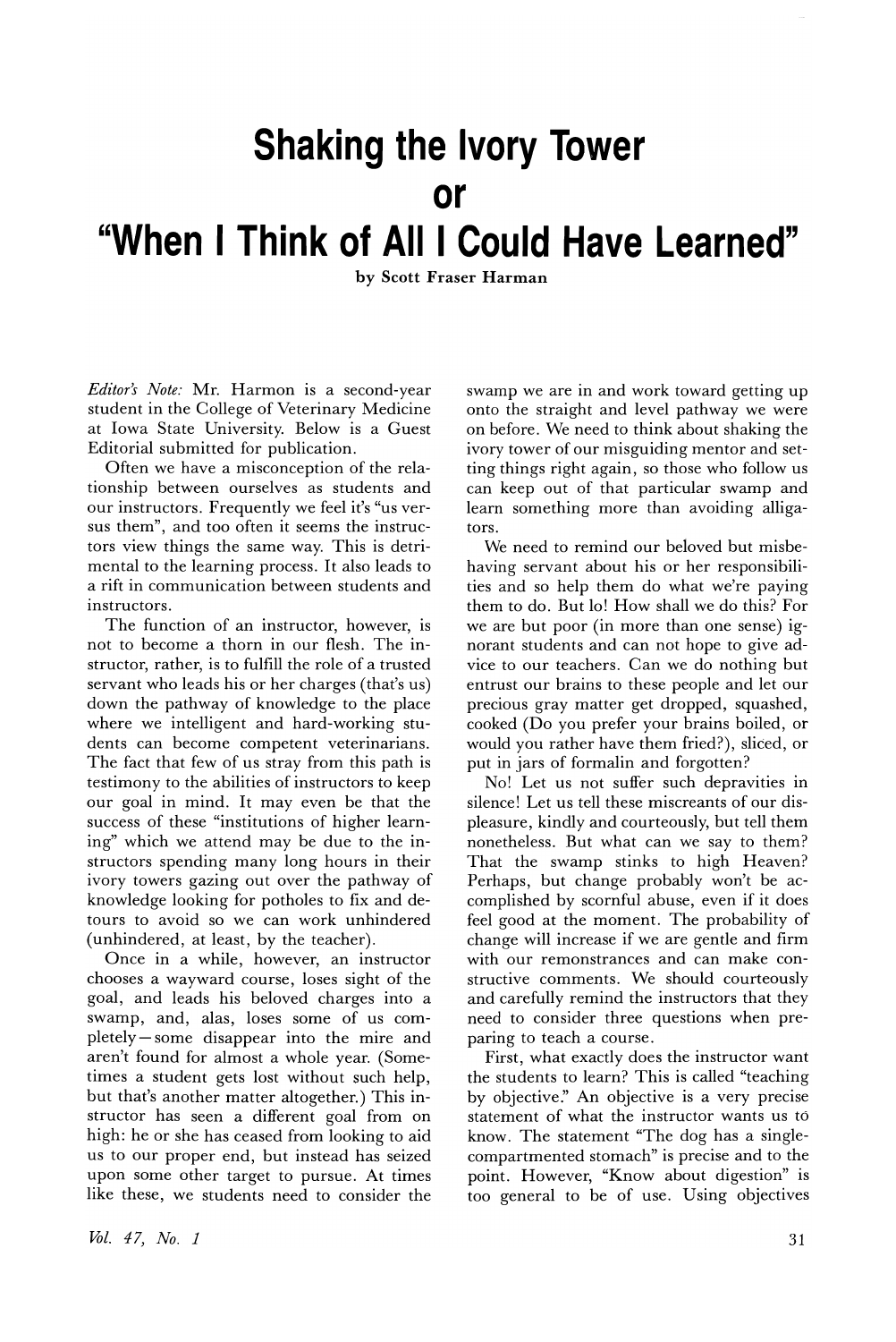## **Shaking the Ivory Tower**

## **or**

## **"When I Think of Alii Could Have Learned"**

by Scott Fraser Harman

*Editor's Note:* Mr. Harmon is a second-year student in the College of Veterinary Medicine at Iowa State University. Below is a Guest Editorial submitted for publication.

Often we have a misconception of the relationship between ourselves as students and our instructors. Frequently we feel it's "us versus them", and too often it seems the instructors view things the same way. This is detrimental to the learning process. It also leads to a rift in communication between students and instructors.

The function of an instructor, however, is not to become a thorn in our flesh. The instructor, rather, is to fulfill the role of a trusted servant who leads his or her charges (that's us) down the pathway of knowledge to the place where we intelligent and hard-working students can become competent veterinarians. The fact that few of us stray from this path is testimony to the abilities of instructors to keep our goal in mind. It may even be that the success of these "institutions of higher learning" which we attend may be due to the instructors spending many long hours in their ivory towers gazing out over the pathway of knowledge looking for potholes to fix and detours to avoid so we can work unhindered (unhindered, at least, by the teacher).

Once in a while, however, an instructor chooses a wayward course, loses sight of the goal, and leads his beloved charges into a swamp, and, alas, loses some of us completely - some disappear into the mire and aren't found for almost a whole year. (Sometimes a student gets lost without such help, but that's another matter altogether.) This instructor has seen a different goal from on high: he or she has ceased from looking to aid us to our proper end, but instead has seized upon some other target to pursue. At times like these, we students need to consider the swamp we are in and work toward getting up onto the straight and level pathway we were on before. We need to think about shaking the ivory tower of our misguiding mentor and setting things right again, so those who follow us can keep out of that particular swamp and learn something more than avoiding alligators.

We need to remind our beloved but misbehaving servant about his or her responsibilities and so help them do what we're paying them to do. But lo! How shall we do this? For we are but poor (in more than one sense) ignorant students and can not hope to give advice to our teachers. Can we do nothing but entrust our brains to these people and let our precious gray matter get dropped, squashed, cooked (Do you prefer your brains boiled, or would you rather have them fried?), sliced, or put in jars of formalin and forgotten?

No! Let us not suffer such depravities in silence! Let us tell these miscreants of our displeasure, kindly and courteously, but tell them nonetheless. But what can we say to them? That the swamp stinks to high Heaven? Perhaps, but change probably won't be accomplished by scornful abuse, even if it does feel good at the moment. The probability of change will increase if we are gentle and firm with our remonstrances and can make constructive comments. We should courteously and carefully remind the instructors that they need to consider three questions when preparing to teach a course.

First, what exactly does the instructor want the students to learn? This is called "teaching by objective:' An objective is a very precise statement of what the instructor wants us to know. The statement "The dog has a singlecompartmented stomach" is precise and to the point. However, "Know about digestion" is too general to be of use. Using objectives